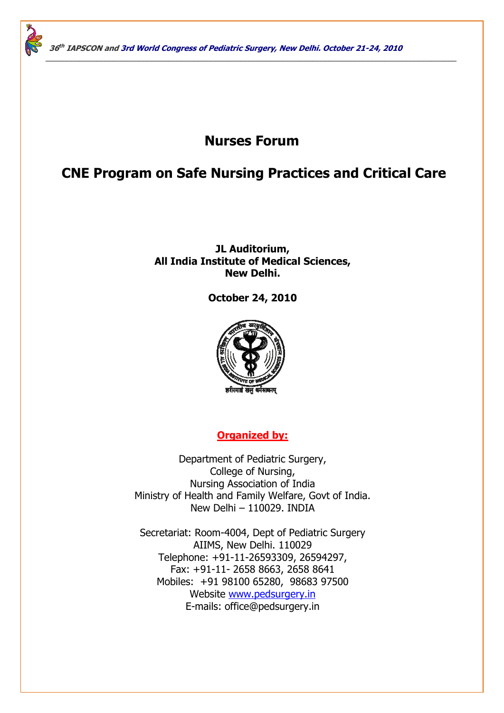# **Nurses Forum**

\_\_\_\_\_\_\_\_\_\_\_\_\_\_\_\_\_\_\_\_\_\_\_\_\_\_\_\_\_\_\_\_\_\_\_\_\_\_\_\_\_\_\_\_\_\_\_\_\_\_\_\_\_\_\_\_\_\_\_\_\_\_\_\_\_\_\_\_\_\_\_\_\_\_\_\_\_\_\_\_\_\_\_\_\_\_\_\_\_\_\_\_\_\_\_\_\_

# **CNE Program on Safe Nursing Practices and Critical Care**

## **JL Auditorium, All India Institute of Medical Sciences, New Delhi.**

## **October 24, 2010**



## **Organized by:**

Department of Pediatric Surgery, College of Nursing, Nursing Association of India Ministry of Health and Family Welfare, Govt of India. New Delhi – 110029. INDIA

Secretariat: Room-4004, Dept of Pediatric Surgery AIIMS, New Delhi. 110029 Telephone: +91-11-26593309, 26594297, Fax: +91-11- 2658 8663, 2658 8641 Mobiles: +91 98100 65280, 98683 97500 Website www.pedsurgery.in E-mails: office@pedsurgery.in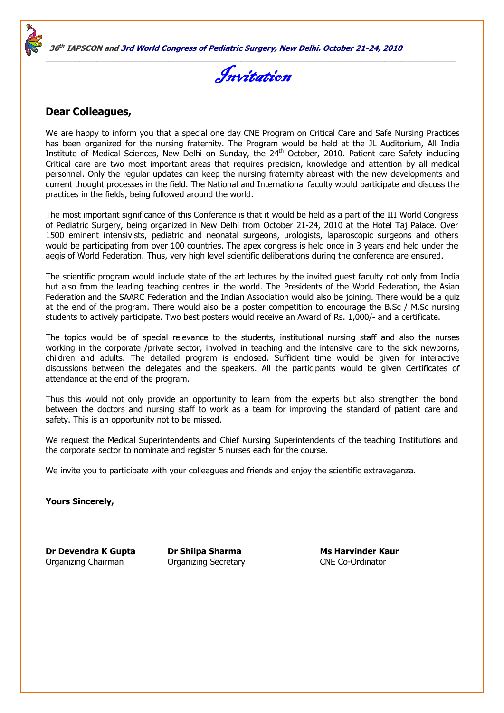



### **Dear Colleagues,**

We are happy to inform you that a special one day CNE Program on Critical Care and Safe Nursing Practices has been organized for the nursing fraternity. The Program would be held at the JL Auditorium, All India Institute of Medical Sciences, New Delhi on Sunday, the 24<sup>th</sup> October, 2010. Patient care Safety including Critical care are two most important areas that requires precision, knowledge and attention by all medical personnel. Only the regular updates can keep the nursing fraternity abreast with the new developments and current thought processes in the field. The National and International faculty would participate and discuss the practices in the fields, being followed around the world.

The most important significance of this Conference is that it would be held as a part of the III World Congress of Pediatric Surgery, being organized in New Delhi from October 21-24, 2010 at the Hotel Taj Palace. Over 1500 eminent intensivists, pediatric and neonatal surgeons, urologists, laparoscopic surgeons and others would be participating from over 100 countries. The apex congress is held once in 3 years and held under the aegis of World Federation. Thus, very high level scientific deliberations during the conference are ensured.

The scientific program would include state of the art lectures by the invited guest faculty not only from India but also from the leading teaching centres in the world. The Presidents of the World Federation, the Asian Federation and the SAARC Federation and the Indian Association would also be joining. There would be a quiz at the end of the program. There would also be a poster competition to encourage the B.Sc / M.Sc nursing students to actively participate. Two best posters would receive an Award of Rs. 1,000/- and a certificate.

The topics would be of special relevance to the students, institutional nursing staff and also the nurses working in the corporate /private sector, involved in teaching and the intensive care to the sick newborns, children and adults. The detailed program is enclosed. Sufficient time would be given for interactive discussions between the delegates and the speakers. All the participants would be given Certificates of attendance at the end of the program.

Thus this would not only provide an opportunity to learn from the experts but also strengthen the bond between the doctors and nursing staff to work as a team for improving the standard of patient care and safety. This is an opportunity not to be missed.

We request the Medical Superintendents and Chief Nursing Superintendents of the teaching Institutions and the corporate sector to nominate and register 5 nurses each for the course.

We invite you to participate with your colleagues and friends and enjoy the scientific extravaganza.

**Yours Sincerely,** 

**Dr Devendra K Gupta Dr Shilpa Sharma Ms Harvinder Kaur** Organizing Chairman Organizing Secretary CNE Co-Ordinator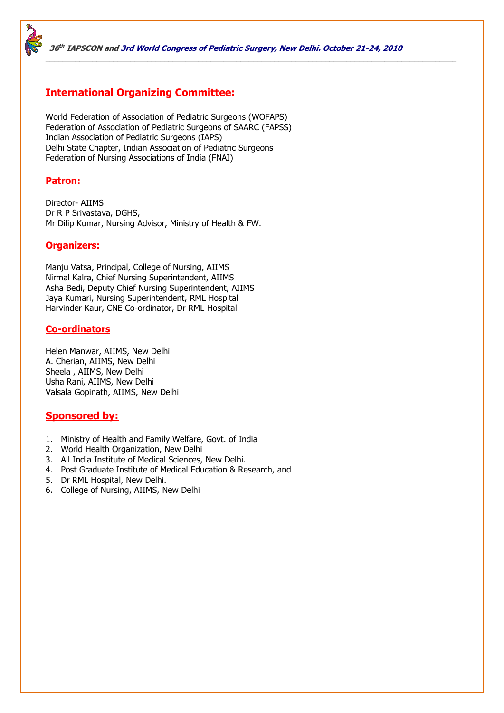

## **International Organizing Committee:**

World Federation of Association of Pediatric Surgeons (WOFAPS) Federation of Association of Pediatric Surgeons of SAARC (FAPSS) Indian Association of Pediatric Surgeons (IAPS) Delhi State Chapter, Indian Association of Pediatric Surgeons Federation of Nursing Associations of India (FNAI)

#### **Patron:**

Director- AIIMS Dr R P Srivastava, DGHS, Mr Dilip Kumar, Nursing Advisor, Ministry of Health & FW.

#### **Organizers:**

Manju Vatsa, Principal, College of Nursing, AIIMS Nirmal Kalra, Chief Nursing Superintendent, AIIMS Asha Bedi, Deputy Chief Nursing Superintendent, AIIMS Jaya Kumari, Nursing Superintendent, RML Hospital Harvinder Kaur, CNE Co-ordinator, Dr RML Hospital

#### **Co-ordinators**

Helen Manwar, AIIMS, New Delhi A. Cherian, AIIMS, New Delhi Sheela , AIIMS, New Delhi Usha Rani, AIIMS, New Delhi Valsala Gopinath, AIIMS, New Delhi

## **Sponsored by:**

- 1. Ministry of Health and Family Welfare, Govt. of India
- 2. World Health Organization, New Delhi
- 3. All India Institute of Medical Sciences, New Delhi.
- 4. Post Graduate Institute of Medical Education & Research, and
- 5. Dr RML Hospital, New Delhi.
- 6. College of Nursing, AIIMS, New Delhi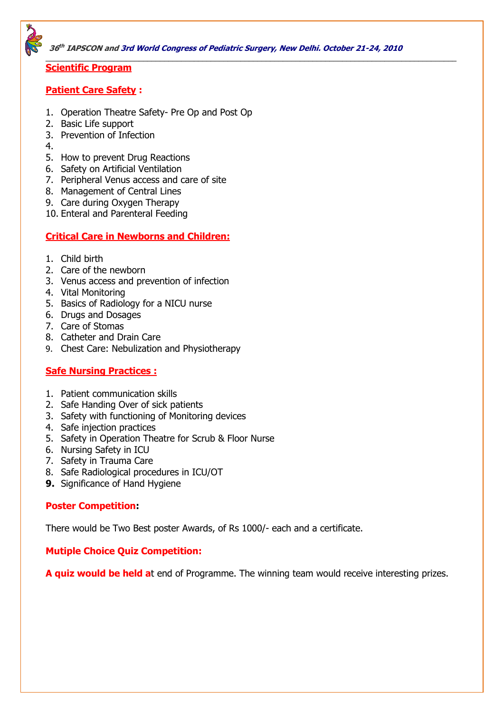

#### **Scientific Program**

#### **Patient Care Safety :**

- 1. Operation Theatre Safety- Pre Op and Post Op
- 2. Basic Life support
- 3. Prevention of Infection
- 4.
- 5. How to prevent Drug Reactions
- 6. Safety on Artificial Ventilation
- 7. Peripheral Venus access and care of site
- 8. Management of Central Lines
- 9. Care during Oxygen Therapy
- 10. Enteral and Parenteral Feeding

## **Critical Care in Newborns and Children:**

- 1. Child birth
- 2. Care of the newborn
- 3. Venus access and prevention of infection
- 4. Vital Monitoring
- 5. Basics of Radiology for a NICU nurse
- 6. Drugs and Dosages
- 7. Care of Stomas
- 8. Catheter and Drain Care
- 9. Chest Care: Nebulization and Physiotherapy

## **Safe Nursing Practices :**

- 1. Patient communication skills
- 2. Safe Handing Over of sick patients
- 3. Safety with functioning of Monitoring devices
- 4. Safe injection practices
- 5. Safety in Operation Theatre for Scrub & Floor Nurse
- 6. Nursing Safety in ICU
- 7. Safety in Trauma Care
- 8. Safe Radiological procedures in ICU/OT
- **9.** Significance of Hand Hygiene

## **Poster Competition:**

There would be Two Best poster Awards, of Rs 1000/- each and a certificate.

## **Mutiple Choice Quiz Competition:**

**A quiz would be held a**t end of Programme. The winning team would receive interesting prizes.